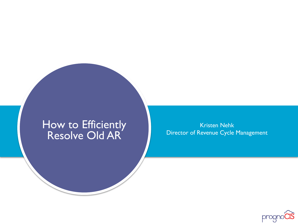#### How to Efficiently Resolve Old AR

Kristen Nehk Director of Revenue Cycle Management

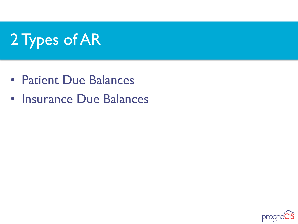# 2 Types of AR

- Patient Due Balances
- Insurance Due Balances

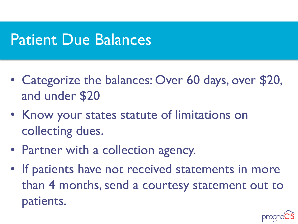### Patient Due Balances

- Categorize the balances: Over 60 days, over \$20, and under \$20
- Know your states statute of limitations on collecting dues.
- Partner with a collection agency.
- If patients have not received statements in more than 4 months, send a courtesy statement out to patients.

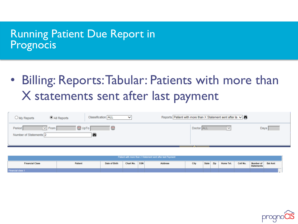### Running Patient Due Report in Prognocis

• Billing: Reports: Tabular: Patients with more than X statements sent after last payment

| $\cup$ My Reports                                           | All Reports | Classification ALL | Reports Patient with more than X Statement sent after la $\vee$ <sup>1</sup> |      |
|-------------------------------------------------------------|-------------|--------------------|------------------------------------------------------------------------------|------|
| $\vee$ From $\parallel$<br>Period<br>Number of Statements 2 | 四 UpTo [    | ш                  | Doctor ALL                                                                   | Days |

| Patient with more than 2 Statement sent after last Payment |                                                                                                                                                                      |  |  |  |  |  |  |  |  |  |  |  |
|------------------------------------------------------------|----------------------------------------------------------------------------------------------------------------------------------------------------------------------|--|--|--|--|--|--|--|--|--|--|--|
| <b>Financial Class</b>                                     | City<br>Cell No.<br>Chart No. SSN<br>State Zip<br>Home Tel.<br>Number of<br>Date of Birth<br><b>Bal Amt</b><br><b>Address</b><br><b>Patient</b><br><b>Statements</b> |  |  |  |  |  |  |  |  |  |  |  |
| <b>Financial class 1</b>                                   |                                                                                                                                                                      |  |  |  |  |  |  |  |  |  |  |  |

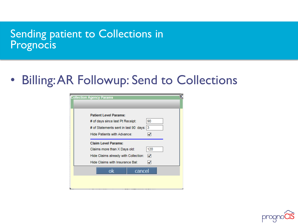### Sending patient to Collections in Prognocis

• Billing: AR Followup: Send to Collections



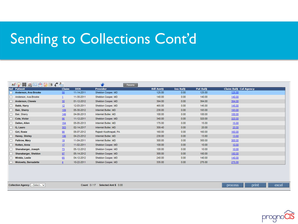## Sending to Collections Cont'd

|    | 54个美国南京最良人,                 |                |            |                        | Params |                   |                 |           |                               |  |
|----|-----------------------------|----------------|------------|------------------------|--------|-------------------|-----------------|-----------|-------------------------------|--|
|    | <b>Sel Patient</b>          | <b>Claim</b>   | <b>DOS</b> | <b>Provider</b>        |        | <b>Bill Amt\$</b> | <b>Ins Bals</b> | Pat Bal\$ | <b>Claim Bal\$ Col Agency</b> |  |
| □  | Anderson, Ava-Brooke        | 58             | 11-14-2011 | Sheldon Cooper, MD     |        | 125.00            | 0.00            | 125.00    | 125.00                        |  |
| г  | Anderson, Ava-Brooke        |                | 11-30-2011 | Sheldon Cooper, MD     |        | 140.00            | 0.00            | 140.00    | 140.00                        |  |
| IГ | <b>Anderson, Chewie</b>     | 30             | 01-12-2012 | Sheldon Cooper, MD     |        | 394.00            | 0.00            | 394.00    | 394.00                        |  |
|    | Babb, Harry                 | 12             | 12-03-2011 | Sheldon Cooper, MD     |        | 465.00            | 0.00            | 145.00    | 145.00                        |  |
| Г  | <b>Bair, Sherry</b>         | 109            | 05-30-2012 | Internist Butler, MD   |        | 238.00            | 0.00            | 193.00    | 193.00                        |  |
|    | Bair, Sherry                | 149            | 04-08-2013 | Internist Butler, MD   |        | 100.00            | 0.00            | 100.00    | 100.00                        |  |
|    | Cote, Victor                | 86             | 11-12-2011 | Sheldon Cooper, MD     |        | 340.00            | 0.00            | 320.00    | 320.00                        |  |
|    | Dallen, Allen               | <u>154</u>     | 05-05-2013 | Internist Butler, MD   |        | 175.00            | 0.00            | 15.00     | 15.00                         |  |
|    | G, Lauro                    | 303            | 02-14-2017 | Internist Butler, MD   |        | 309.40            | 0.00            | 20.00     | 20.00                         |  |
|    | <b>Girl, Rosie</b>          | 98             | 08-07-2012 | Rajesh Koothrapali, PA |        | 160.00            | 0.00            | 160.00    | 160.00                        |  |
|    | Haney, Shirley              | 106            | 04-23-2012 | Internist Butler, MD   |        | 238.00            | 0.00            | 13.80     | 13.80                         |  |
|    | Paltrow, Mary               | 19             | 11-04-2011 | Internist Butler, MD   |        | 300.00            | 0.00            | 300.00    | 300.00                        |  |
| Г  | Rotten, Anna                | 17             | 11-02-2011 | Sheldon Cooper, MD     |        | 100.00            | 0.00            | 10.00     | 10.00                         |  |
|    | Shanabarger, Joseph         | 73             | 05-12-2012 | Sheldon Cooper, MD     |        | 100.00            | 0.00            | 10.00     | 10.00                         |  |
| IΓ | Shanabarger, Sheldon        | 97             | 05-14-2012 | Sheldon Cooper, MD     |        | 300.00            | 0.00            | 180.00    | 180.00                        |  |
|    | <b>Winkle, Leslie</b>       | 65             | 04-12-2012 | Sheldon Cooper, MD     |        | 240.00            | 0.00            | 140.00    | 140.00                        |  |
| C  | <b>Wolowitz, Bernadette</b> | $\overline{4}$ | 10-22-2011 | Sheldon Cooper, MD     |        | 335.00            | 0.00            | 275.00    | 275.00                        |  |

Collection Agency -- Select-- V

Count 0/17 Selected Amt \$ 0.00

print process



excel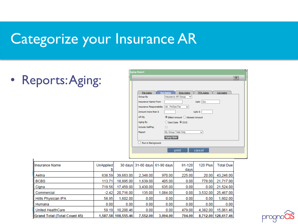## Categorize your Insurance AR

• Reports: Aging:

J.

| <b>Aging Report</b>                          |                                                                              |
|----------------------------------------------|------------------------------------------------------------------------------|
|                                              | $\overline{\mathbf{?}}$                                                      |
|                                              |                                                                              |
|                                              |                                                                              |
| Pat Aging                                    | <b>Ins Aging</b><br><b>Emp Aging</b><br><b>TPA Aging</b><br><b>Col Aging</b> |
| Group By                                     | Insurance AR Group<br>$\checkmark$                                           |
| <b>Insurance Name From</b>                   | Upto Zzz                                                                     |
| Insurance Responsibility   All - Pri/Sec/Ter | $\checkmark$                                                                 |
| Amount more than S.                          | Upto \$                                                                      |
| AR By                                        | ◉ Billed Amount ○ Allowed Amount                                             |
| Aging By                                     | Sent Date <i>ODOS</i><br>Ω                                                   |
| Include SelfPay                              |                                                                              |
| Report                                       | By Group Total Only                                                          |
|                                              | Aging Slots                                                                  |
| Run in Background                            |                                                                              |
|                                              | cancel<br>print                                                              |
|                                              |                                                                              |

| <b>Illnsurance Name</b>             | <b>UnApplied</b> |                     |          | 30 days 31-60 days 61-90 days | 91-120<br>days | 120 Plus | <b>Total Due</b>    |
|-------------------------------------|------------------|---------------------|----------|-------------------------------|----------------|----------|---------------------|
| Aetna                               | 638.59           | 39,683.00           | 2,348.00 | 970.00                        | 225.00         | 20.00    | 43,246.00           |
| BCBS                                | 113.71           | 18,895.00           | 1,639.00 | 405.00                        | 0.00           | 778.00   | 21,717.00           |
| Cigna                               | 719.56           | 17,459.00           | 3,430.00 | 635.00                        | 0.00           | 0.00     | 21,524.00           |
| Commercial                          | $-2.42$          | 20,716.00           | 135.00   | 1,084.00                      | 0.00           | 3.532.00 | 25,467.00           |
| Hillls Physician IPA                | 58.95            | 1.602.00            | 0.00     | 0.00                          | 0.00           | 0.00     | 1,602.00            |
| Humana                              | 0.00             | 0.00                | 0.00     | 0.00                          | 0.00           | 0.00     | 0.00                |
| United HealthCare                   | 59.19            | 10.200.46           | 0.00     | 0.00                          | 479.00         | 4.382.00 | 15,061.46           |
| <b>Grand Total (Total Count 45)</b> |                  | 1,587.58 108,555.46 | 7,552.00 | 3.094.00                      | 704.00         |          | 8,712.00 128,617.46 |

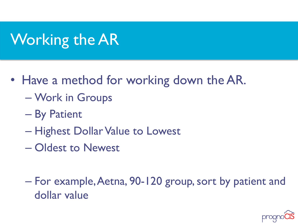# Working the AR

- Have a method for working down the AR.
	- Work in Groups
	- By Patient
	- Highest Dollar Value to Lowest
	- Oldest to Newest
	- For example, Aetna, 90-120 group, sort by patient and dollar value

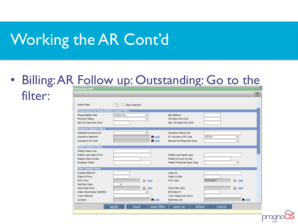## Working the AR Cont'd

filter:

### • Billing: AR Follow up: Outstanding: Go to the

|                                                                                                     |                                                  |                                                                                   | $\overline{\mathbf{?}}$  |
|-----------------------------------------------------------------------------------------------------|--------------------------------------------------|-----------------------------------------------------------------------------------|--------------------------|
| Select Filter                                                                                       | <b>Clear Selection</b><br>$\checkmark$           |                                                                                   |                          |
| <b>Outstanding and Responsibility Related Filters</b>                                               |                                                  |                                                                                   |                          |
| <b>Responsibility With</b><br><b>Payment Status</b><br>Min OS Days from DOS                         | Pri/Sec/Ter<br>v                                 | Min Balance<br>OS Days from DOS<br>Max OS Days from DOS                           |                          |
| <b>Insurance Related Filters</b>                                                                    |                                                  |                                                                                   |                          |
| Selected Insurance As<br><b>Insurance Selection</b><br>Insurance AR Code                            | $\checkmark$<br><b>A</b> clear<br><b>A</b> clear | <b>Insurance Name Like</b><br>Pri Insurance AR Code<br>Beyond Ins Response Days   | <b>AETNA</b><br>◡<br>◡   |
| <b>Patient Related Filters</b>                                                                      |                                                  |                                                                                   |                          |
| <b>Patient Name Like</b><br>Patient Last Name From<br>Patient Chart No like<br><b>Employer Name</b> |                                                  | Patient Last Name Upto<br>Patient Account No like<br>Patient Financial Class Code | v                        |
| <b>Claim Related Filters</b>                                                                        |                                                  |                                                                                   |                          |
| Creation Batch #<br>Claim Id From<br><b>DOS From</b><br>Self Pay Claim                              | 打刑<br>clear<br>$\checkmark$                      | Case No<br>Claim Id Upto<br>DOS Upto                                              | 10-15-2017<br>围<br>clear |
| Send Date From<br>Claim Send Mode CMS/EDI<br>Track Status #                                         | 盟<br>clear<br>◡                                  | Send Date Upto<br>FDI batch #<br><b>Track Status Nos Not in</b>                   | 93<br>clear              |
| Location                                                                                            | <b>A</b> clear                                   | <b>Business Unit</b>                                                              | <b>A</b> clear           |
|                                                                                                     | save filter<br>reset<br>apply                    | delete<br>save as                                                                 | cancel                   |

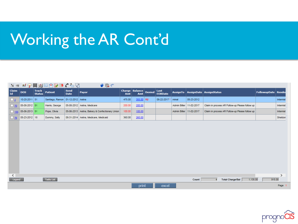# Working the AR Cont'd

|             |               |                               | 10 7 7 月山四大屋5 / 台以                   |                            | $V$ Q $t$                                      |        |                                     |                        |                           |            |                                                         |                       |               |
|-------------|---------------|-------------------------------|--------------------------------------|----------------------------|------------------------------------------------|--------|-------------------------------------|------------------------|---------------------------|------------|---------------------------------------------------------|-----------------------|---------------|
| Claim<br>Id | <b>DOS</b>    | <b>Track</b><br><b>Status</b> | <b>Patient</b>                       | <b>Send</b><br><b>Date</b> | Payor                                          | Amt    | Charge Balance Denied<br><b>Amt</b> | Last<br><b>EOBDate</b> |                           |            | AssignTo   AssignDate   AssignStatus                    | FollowupDate   Render |               |
| $\square$ 2 | 10-20-2011 51 |                               | Santiago, Ramon   01-12-2012   Aetna |                            |                                                | 475.00 | $355.00$ R2                         | 08-22-2017*            | minal                     | 05-23-2012 |                                                         |                       | Internist     |
| $\Box$ 70   | 05-08-2012 51 |                               | Harris, George                       |                            | 05-08-2012 Aetna, Medicare                     | 200.00 | 200.00                              |                        | Admin Biller              | 11-02-2017 | Claim in process AR Follow-up Please follow up          |                       | Internist     |
| $\Box$ 155  | 05-06-2013 51 |                               | Pope, Olivia                         |                            | 05-06-2013 Aetna, Bakery & Confectionary Union | 100.00 | 100.00                              |                        | Admin Biller   11-02-2017 |            | Claim in process AR Follow-up Please follow up          |                       | Internist     |
| $\Box$ 76   | 05-23-2012 18 |                               | Dummy, Sally                         |                            | 08-31-2014 Aetna, Medicare, Medicaid           | 360.00 | 260.00                              |                        |                           |            |                                                         |                       | Sheldon       |
| ≺           |               |                               |                                      |                            |                                                |        |                                     |                        |                           |            |                                                         |                       | $\rightarrow$ |
| Legend      |               |                               | Tasks List                           |                            |                                                |        |                                     |                        |                           | Count      | <b>Total Charge/Bal</b><br>1,135.00<br>$\boldsymbol{4}$ | 915.00                |               |
|             |               |                               |                                      |                            |                                                |        | print                               | excel                  |                           |            |                                                         |                       | Page          |

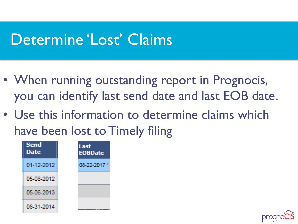### Determine 'Lost' Claims

- When running outstanding report in Prognocis, you can identify last send date and last EOB date.
- Use this information to determine claims which have been lost to Timely filing



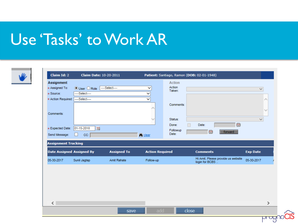## Use 'Tasks' to Work AR

| <b>Action</b><br><b>Assignment</b><br>Action<br>---Select----<br>* Assigned To:<br>$\checkmark$<br>$\odot$ User $\bigcirc$ Role<br>$\checkmark$<br>Taken:<br>* Source:<br>-Select----<br>◡<br>* Action Required:<br>---Select-----<br>▽<br>Comments:<br>∧<br>$\checkmark$<br>$\checkmark$<br>Status:<br>$\checkmark$<br>$\Xi$<br>Date:<br>Done:<br>四<br>01-15-2018<br>Followup<br>四<br>forward<br>Date:<br><b>A</b> clear<br> CC:<br><b>Assignment Tracking</b><br><b>Date Assigned Assigned By</b><br><b>Assigned To</b><br><b>Action Required</b><br><b>Comments</b><br><b>Exp Date</b><br>Hi Amit, Please provide us website<br>05-30-2017<br>Sunil Jagtap<br><b>Amit Rahate</b><br>Follow-up<br>login for BCBS<br>$\overline{\phantom{a}}$<br>⋗<br>add<br>close<br>save | <b>Claim Id: 2</b> | <b>Claim Date: 10-20-2011</b> |  | Patient: Santiago, Ramon (DOB: 02-01-1948) |  |  |
|-----------------------------------------------------------------------------------------------------------------------------------------------------------------------------------------------------------------------------------------------------------------------------------------------------------------------------------------------------------------------------------------------------------------------------------------------------------------------------------------------------------------------------------------------------------------------------------------------------------------------------------------------------------------------------------------------------------------------------------------------------------------------------|--------------------|-------------------------------|--|--------------------------------------------|--|--|
|                                                                                                                                                                                                                                                                                                                                                                                                                                                                                                                                                                                                                                                                                                                                                                             |                    |                               |  |                                            |  |  |
|                                                                                                                                                                                                                                                                                                                                                                                                                                                                                                                                                                                                                                                                                                                                                                             | Comments:          |                               |  |                                            |  |  |
|                                                                                                                                                                                                                                                                                                                                                                                                                                                                                                                                                                                                                                                                                                                                                                             | * Expected Date:   |                               |  |                                            |  |  |
|                                                                                                                                                                                                                                                                                                                                                                                                                                                                                                                                                                                                                                                                                                                                                                             | Send Message:      |                               |  |                                            |  |  |
|                                                                                                                                                                                                                                                                                                                                                                                                                                                                                                                                                                                                                                                                                                                                                                             |                    |                               |  |                                            |  |  |
|                                                                                                                                                                                                                                                                                                                                                                                                                                                                                                                                                                                                                                                                                                                                                                             |                    |                               |  |                                            |  |  |
|                                                                                                                                                                                                                                                                                                                                                                                                                                                                                                                                                                                                                                                                                                                                                                             | 05-30-2017         |                               |  |                                            |  |  |
|                                                                                                                                                                                                                                                                                                                                                                                                                                                                                                                                                                                                                                                                                                                                                                             |                    |                               |  |                                            |  |  |
|                                                                                                                                                                                                                                                                                                                                                                                                                                                                                                                                                                                                                                                                                                                                                                             |                    |                               |  |                                            |  |  |
|                                                                                                                                                                                                                                                                                                                                                                                                                                                                                                                                                                                                                                                                                                                                                                             |                    |                               |  |                                            |  |  |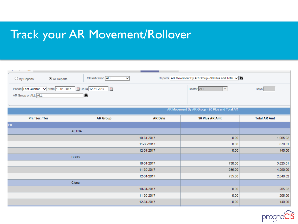### Track your AR Movement/Rollover

| $\odot$ All Reports<br>$\bigcirc$ My Reports                                   | Classification ALL<br>$\checkmark$ |                | Reports AR Movement By AR Group - 90 Plus and Total V |                     |
|--------------------------------------------------------------------------------|------------------------------------|----------------|-------------------------------------------------------|---------------------|
| Period Last Quarter v From 10-01-2017   DpTo 12-31-2017<br>AR Group or ALL ALL | $\frac{133}{123}$<br>₩             |                | Doctor ALL<br>$\sim$ $\sim$                           | Days <sup>1</sup>   |
|                                                                                |                                    |                | AR Movement By AR Group - 90 Plus and Total AR        |                     |
| Pri / Sec / Ter                                                                | <b>AR Group</b>                    | <b>AR Date</b> | 90 Plus AR Amt                                        | <b>Total AR Amt</b> |
| Pri                                                                            |                                    |                |                                                       |                     |
|                                                                                | <b>AETNA</b>                       |                |                                                       |                     |
|                                                                                |                                    | 10-31-2017     | 0.00                                                  | 1,095.02            |
|                                                                                |                                    | 11-30-2017     | 0.00                                                  | 870.01              |
|                                                                                |                                    | 12-31-2017     | 0.00                                                  | 140.00              |
|                                                                                | <b>BCBS</b>                        |                |                                                       |                     |
|                                                                                |                                    | 10-31-2017     | 730.00                                                | 3,825.01            |
|                                                                                |                                    | 11-30-2017     | 935.00                                                | 4,290.00            |
|                                                                                |                                    | 12-31-2017     | 755.00                                                | 2,840.02            |
|                                                                                | Cigna                              |                |                                                       |                     |
|                                                                                |                                    | 10-31-2017     | 0.00                                                  | 205.02              |
|                                                                                |                                    | 11-30-2017     | 0.00                                                  | 205.00              |
|                                                                                |                                    | 12-31-2017     | 0.00                                                  | 140.00              |

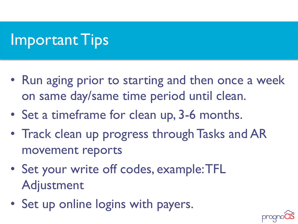## Important Tips

- Run aging prior to starting and then once a week on same day/same time period until clean.
- Set a timeframe for clean up, 3-6 months.
- Track clean up progress through Tasks and AR movement reports
- Set your write off codes, example: TFL Adjustment
- Set up online logins with payers.

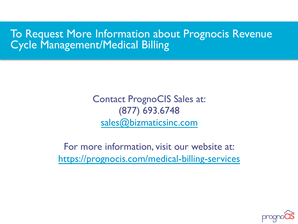### To Request More Information about Prognocis Revenue Cycle Management/Medical Billing

Contact PrognoCIS Sales at: (877) 693.6748 sales@bizmaticsinc.com

For more information, visit our website at: https://prognocis.com/medical-billing-services